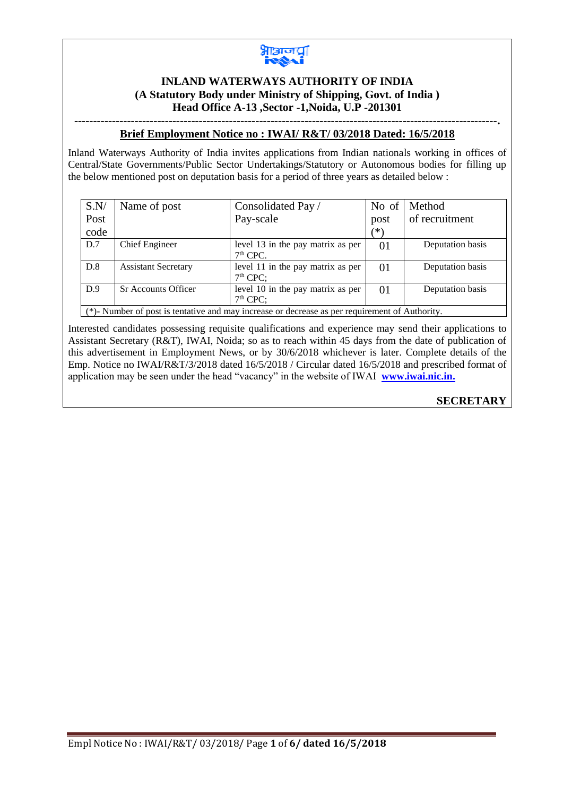

#### **INLAND WATERWAYS AUTHORITY OF INDIA (A Statutory Body under Ministry of Shipping, Govt. of India ) Head Office A-13 ,Sector -1,Noida, U.P -201301**

**----------------------------------------------------------------------------------------------------------------.**

#### **Brief Employment Notice no : IWAI/ R&T/ 03/2018 Dated: 16/5/2018**

Inland Waterways Authority of India invites applications from Indian nationals working in offices of Central/State Governments/Public Sector Undertakings/Statutory or Autonomous bodies for filling up the below mentioned post on deputation basis for a period of three years as detailed below :

| S.N/                                                                                          | Name of post               | Consolidated Pay /                              | No of | Method           |
|-----------------------------------------------------------------------------------------------|----------------------------|-------------------------------------------------|-------|------------------|
| Post                                                                                          |                            | Pay-scale                                       | post  | of recruitment   |
| code                                                                                          |                            |                                                 | (*)   |                  |
| D.7                                                                                           | Chief Engineer             | level 13 in the pay matrix as per<br>$7th$ CPC. | 01    | Deputation basis |
| D.8                                                                                           | <b>Assistant Secretary</b> | level 11 in the pay matrix as per<br>$7th$ CPC: | 01    | Deputation basis |
| D.9                                                                                           | <b>Sr Accounts Officer</b> | level 10 in the pay matrix as per<br>$7th$ CPC: | 01    | Deputation basis |
| (*)-Number of post is tentative and may increase or decrease as per requirement of Authority. |                            |                                                 |       |                  |

Interested candidates possessing requisite qualifications and experience may send their applications to Assistant Secretary (R&T), IWAI, Noida; so as to reach within 45 days from the date of publication of this advertisement in Employment News, or by 30/6/2018 whichever is later. Complete details of the Emp. Notice no IWAI/R&T/3/2018 dated 16/5/2018 / Circular dated 16/5/2018 and prescribed format of application may be seen under the head "vacancy" in the website of IWAI **[www.iwai.nic.in.](http://www.iwai.nic.in/)**

**SECRETARY**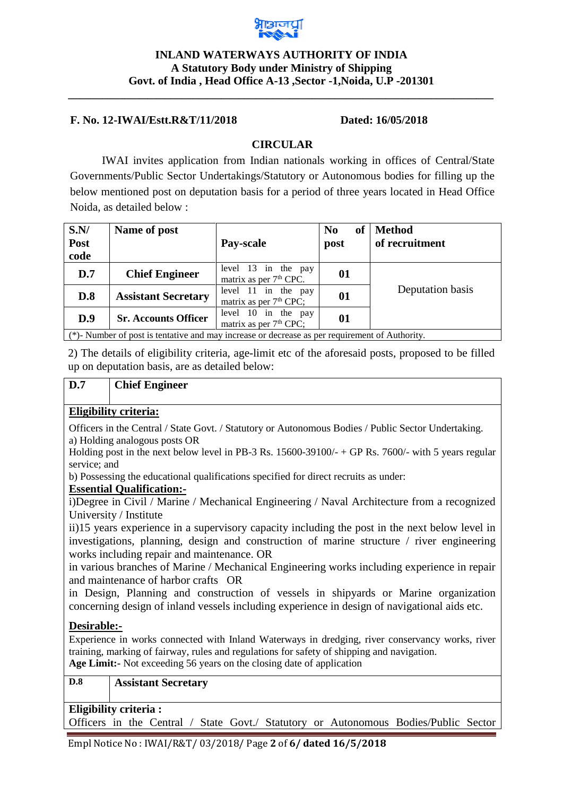

### **INLAND WATERWAYS AUTHORITY OF INDIA A Statutory Body under Ministry of Shipping Govt. of India , Head Office A-13 ,Sector -1,Noida, U.P -201301**

**\_\_\_\_\_\_\_\_\_\_\_\_\_\_\_\_\_\_\_\_\_\_\_\_\_\_\_\_\_\_\_\_\_\_\_\_\_\_\_\_\_\_\_\_\_\_\_\_\_\_\_\_\_\_\_\_\_\_\_\_\_\_\_\_\_\_\_\_\_\_\_\_\_\_\_**

#### **F. No. 12-IWAI/Estt.R&T/11/2018 Dated: 16/05/2018**

#### **CIRCULAR**

IWAI invites application from Indian nationals working in offices of Central/State Governments/Public Sector Undertakings/Statutory or Autonomous bodies for filling up the below mentioned post on deputation basis for a period of three years located in Head Office Noida, as detailed below :

| S.N/<br>Post<br>code                                                                           | Name of post                | Pay-scale                                                 | N <sub>0</sub><br><b>of</b><br>post | <b>Method</b><br>of recruitment |
|------------------------------------------------------------------------------------------------|-----------------------------|-----------------------------------------------------------|-------------------------------------|---------------------------------|
| D.7                                                                                            | <b>Chief Engineer</b>       | level 13 in the pay<br>matrix as per 7 <sup>th</sup> CPC. | 01                                  |                                 |
| D.8                                                                                            | <b>Assistant Secretary</b>  | level 11 in the pay<br>matrix as per $7th$ CPC;           | 01                                  | Deputation basis                |
| D.9                                                                                            | <b>Sr. Accounts Officer</b> | level 10 in the pay<br>matrix as per $7th$ CPC;           | 01                                  |                                 |
| (*)- Number of post is tentative and may increase or decrease as per requirement of Authority. |                             |                                                           |                                     |                                 |

2) The details of eligibility criteria, age-limit etc of the aforesaid posts, proposed to be filled up on deputation basis, are as detailed below:

# **D.7 Chief Engineer**

#### **Eligibility criteria:**

Officers in the Central / State Govt. / Statutory or Autonomous Bodies / Public Sector Undertaking. a) Holding analogous posts OR

Holding post in the next below level in PB-3 Rs.  $15600-39100/ - +$  GP Rs. 7600/- with 5 years regular service; and

b) Possessing the educational qualifications specified for direct recruits as under:

#### **Essential Qualification:-**

i)Degree in Civil / Marine / Mechanical Engineering / Naval Architecture from a recognized University / Institute

ii)15 years experience in a supervisory capacity including the post in the next below level in investigations, planning, design and construction of marine structure / river engineering works including repair and maintenance. OR

in various branches of Marine / Mechanical Engineering works including experience in repair and maintenance of harbor crafts OR

in Design, Planning and construction of vessels in shipyards or Marine organization concerning design of inland vessels including experience in design of navigational aids etc.

#### **Desirable:-**

Experience in works connected with Inland Waterways in dredging, river conservancy works, river training, marking of fairway, rules and regulations for safety of shipping and navigation. **Age Limit:-** Not exceeding 56 years on the closing date of application

# **D.8 Assistant Secretary**

#### **Eligibility criteria :**

Officers in the Central / State Govt./ Statutory or Autonomous Bodies/Public Sector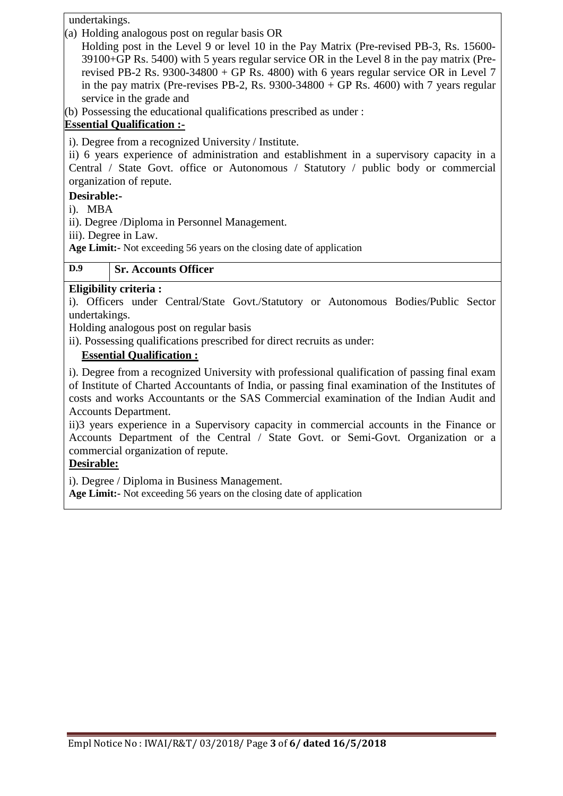undertakings.

(a) Holding analogous post on regular basis OR

Holding post in the Level 9 or level 10 in the Pay Matrix (Pre-revised PB-3, Rs. 15600- 39100+GP Rs. 5400) with 5 years regular service OR in the Level 8 in the pay matrix (Prerevised PB-2 Rs. 9300-34800 + GP Rs. 4800) with 6 years regular service OR in Level 7 in the pay matrix (Pre-revises PB-2, Rs.  $9300-34800 + GP$  Rs.  $4600$ ) with 7 years regular service in the grade and

(b) Possessing the educational qualifications prescribed as under :

# **Essential Qualification :-**

i). Degree from a recognized University / Institute.

ii) 6 years experience of administration and establishment in a supervisory capacity in a Central / State Govt. office or Autonomous / Statutory / public body or commercial organization of repute.

# **Desirable:-**

i). MBA

ii). Degree /Diploma in Personnel Management.

iii). Degree in Law.

**Age Limit:-** Not exceeding 56 years on the closing date of application

# **D.9 Sr. Accounts Officer**

# **Eligibility criteria :**

i). Officers under Central/State Govt./Statutory or Autonomous Bodies/Public Sector undertakings.

Holding analogous post on regular basis

ii). Possessing qualifications prescribed for direct recruits as under:

# **Essential Qualification :**

i). Degree from a recognized University with professional qualification of passing final exam of Institute of Charted Accountants of India, or passing final examination of the Institutes of costs and works Accountants or the SAS Commercial examination of the Indian Audit and Accounts Department.

ii)3 years experience in a Supervisory capacity in commercial accounts in the Finance or Accounts Department of the Central / State Govt. or Semi-Govt. Organization or a commercial organization of repute.

# **Desirable:**

i). Degree / Diploma in Business Management.

**Age Limit:-** Not exceeding 56 years on the closing date of application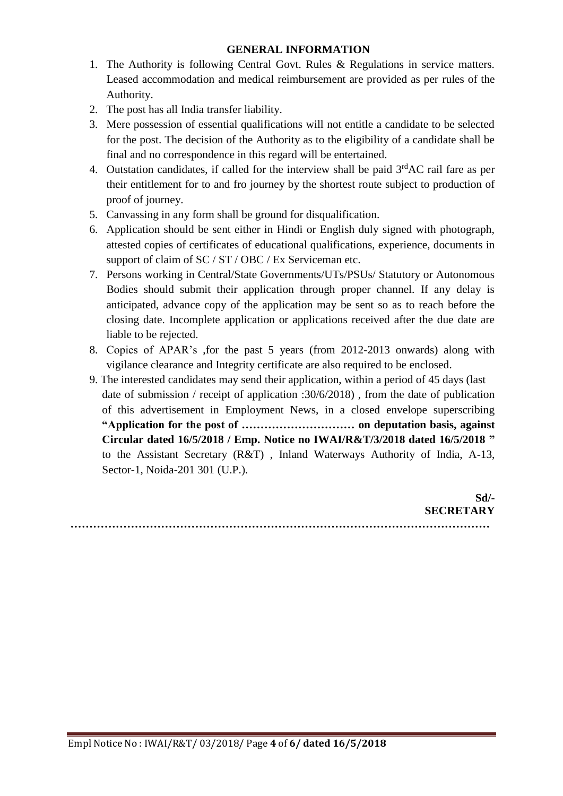#### **GENERAL INFORMATION**

- 1. The Authority is following Central Govt. Rules & Regulations in service matters. Leased accommodation and medical reimbursement are provided as per rules of the Authority.
- 2. The post has all India transfer liability.
- 3. Mere possession of essential qualifications will not entitle a candidate to be selected for the post. The decision of the Authority as to the eligibility of a candidate shall be final and no correspondence in this regard will be entertained.
- 4. Outstation candidates, if called for the interview shall be paid  $3<sup>rd</sup>AC$  rail fare as per their entitlement for to and fro journey by the shortest route subject to production of proof of journey.
- 5. Canvassing in any form shall be ground for disqualification.
- 6. Application should be sent either in Hindi or English duly signed with photograph, attested copies of certificates of educational qualifications, experience, documents in support of claim of SC / ST / OBC / Ex Serviceman etc.
- 7. Persons working in Central/State Governments/UTs/PSUs/ Statutory or Autonomous Bodies should submit their application through proper channel. If any delay is anticipated, advance copy of the application may be sent so as to reach before the closing date. Incomplete application or applications received after the due date are liable to be rejected.
- 8. Copies of APAR's ,for the past 5 years (from 2012-2013 onwards) along with vigilance clearance and Integrity certificate are also required to be enclosed.
- 9. The interested candidates may send their application, within a period of 45 days (last date of submission / receipt of application :30/6/2018) , from the date of publication of this advertisement in Employment News, in a closed envelope superscribing **"Application for the post of ………………………… on deputation basis, against Circular dated 16/5/2018 / Emp. Notice no IWAI/R&T/3/2018 dated 16/5/2018 "**  to the Assistant Secretary (R&T) , Inland Waterways Authority of India, A-13, Sector-1, Noida-201 301 (U.P.).

| Sd/-             |
|------------------|
| <b>SECRETARY</b> |
|                  |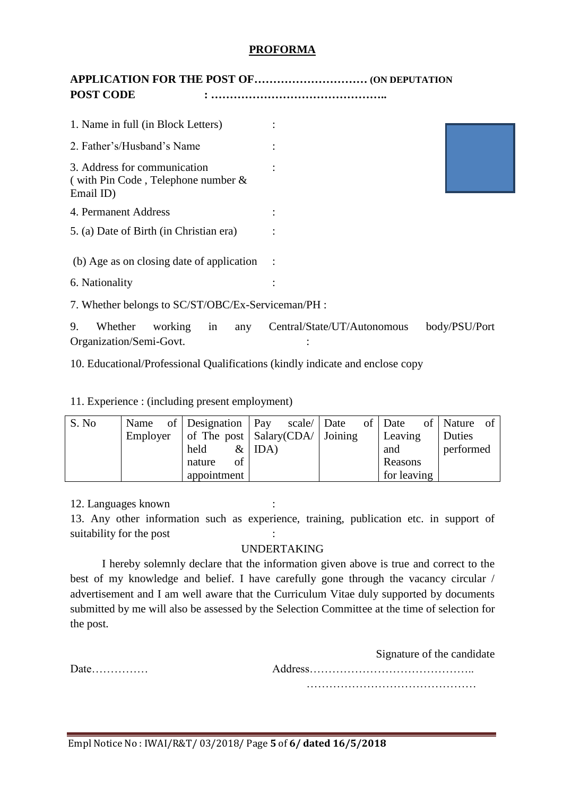#### **PROFORMA**

# **APPLICATION FOR THE POST OF………………………… (ON DEPUTATION POST CODE : ………………………………………..**

| 1. Name in full (in Block Letters)                                                 |                             |               |
|------------------------------------------------------------------------------------|-----------------------------|---------------|
| 2. Father's/Husband's Name                                                         |                             |               |
| 3. Address for communication<br>(with Pin Code, Telephone number $\&$<br>Email ID) |                             |               |
| 4. Permanent Address                                                               |                             |               |
| 5. (a) Date of Birth (in Christian era)                                            |                             |               |
| (b) Age as on closing date of application                                          |                             |               |
| 6. Nationality                                                                     |                             |               |
| 7. Whether belongs to SC/ST/OBC/Ex-Serviceman/PH :                                 |                             |               |
| 9.<br>Whether<br>working<br>in<br>any<br>Organization/Semi-Govt.                   | Central/State/UT/Autonomous | body/PSU/Port |

10. Educational/Professional Qualifications (kindly indicate and enclose copy

11. Experience : (including present employment)

| S. No |                    | Name of Designation   Pay scale   Date                    | of Date     | of Nature of |
|-------|--------------------|-----------------------------------------------------------|-------------|--------------|
|       |                    | Employer of The post $\vert$ Salary (CDA/ $\vert$ Joining | Leaving     | Duties       |
|       | held               | $&$ IDA)                                                  | and         | performed    |
|       | $\sigma$<br>nature |                                                           | Reasons     |              |
|       | appointment        |                                                           | for leaving |              |

12. Languages known :

13. Any other information such as experience, training, publication etc. in support of suitability for the post :

# UNDERTAKING

I hereby solemnly declare that the information given above is true and correct to the best of my knowledge and belief. I have carefully gone through the vacancy circular / advertisement and I am well aware that the Curriculum Vitae duly supported by documents submitted by me will also be assessed by the Selection Committee at the time of selection for the post.

Signature of the candidate

Date…………… Address…………………………………….. ………………………………………